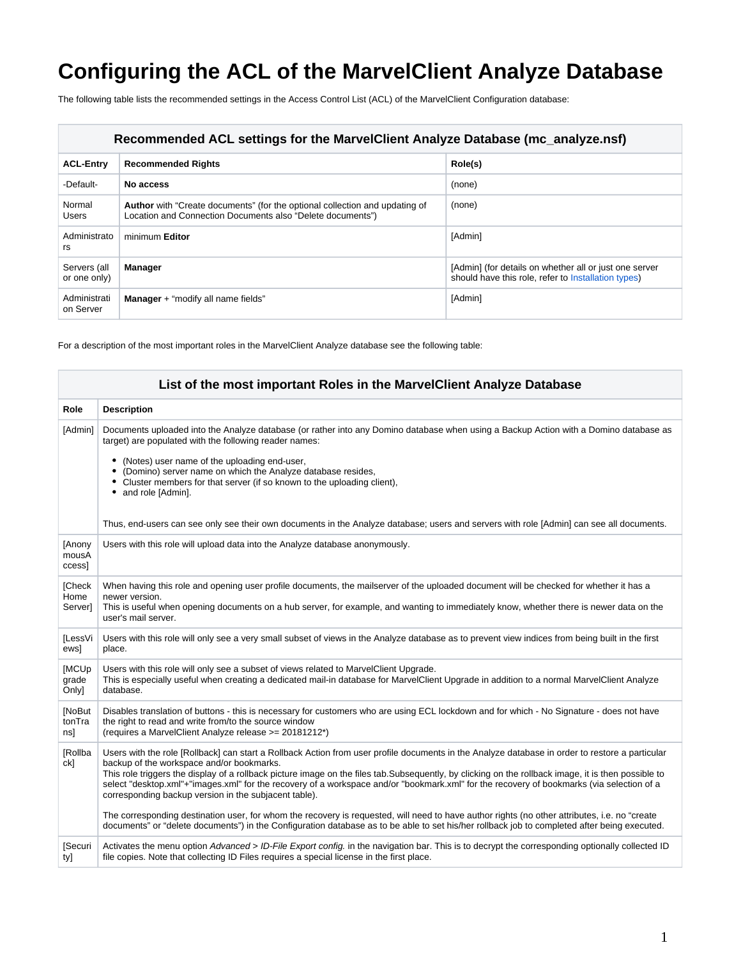## **Configuring the ACL of the MarvelClient Analyze Database**

The following table lists the recommended settings in the Access Control List (ACL) of the MarvelClient Configuration database:

| Recommended ACL settings for the MarvelClient Analyze Database (mc_analyze.nsf) |                                                                                                                                                  |                                                                                                               |
|---------------------------------------------------------------------------------|--------------------------------------------------------------------------------------------------------------------------------------------------|---------------------------------------------------------------------------------------------------------------|
| <b>ACL-Entry</b>                                                                | <b>Recommended Rights</b>                                                                                                                        | Role(s)                                                                                                       |
| -Default-                                                                       | No access                                                                                                                                        | (none)                                                                                                        |
| Normal<br><b>Users</b>                                                          | <b>Author</b> with "Create documents" (for the optional collection and updating of<br>Location and Connection Documents also "Delete documents") | (none)                                                                                                        |
| Administrato<br>rs                                                              | minimum Editor                                                                                                                                   | [Admin]                                                                                                       |
| Servers (all<br>or one only)                                                    | <b>Manager</b>                                                                                                                                   | [Admin] (for details on whether all or just one server<br>should have this role, refer to Installation types) |
| Administrati<br>on Server                                                       | <b>Manager</b> + "modify all name fields"                                                                                                        | [Admin]                                                                                                       |

For a description of the most important roles in the MarvelClient Analyze database see the following table:

| List of the most important Roles in the MarvelClient Analyze Database |                                                                                                                                                                                                                                                                                                                                                                                                                                                                                                                                                                                                                                                                                                                                                                                                                                                             |  |
|-----------------------------------------------------------------------|-------------------------------------------------------------------------------------------------------------------------------------------------------------------------------------------------------------------------------------------------------------------------------------------------------------------------------------------------------------------------------------------------------------------------------------------------------------------------------------------------------------------------------------------------------------------------------------------------------------------------------------------------------------------------------------------------------------------------------------------------------------------------------------------------------------------------------------------------------------|--|
| Role                                                                  | <b>Description</b>                                                                                                                                                                                                                                                                                                                                                                                                                                                                                                                                                                                                                                                                                                                                                                                                                                          |  |
| [Admin]                                                               | Documents uploaded into the Analyze database (or rather into any Domino database when using a Backup Action with a Domino database as<br>target) are populated with the following reader names:<br>(Notes) user name of the uploading end-user,<br>٠<br>(Domino) server name on which the Analyze database resides,<br>• Cluster members for that server (if so known to the uploading client),<br>and role [Admin].<br>Thus, end-users can see only see their own documents in the Analyze database; users and servers with role [Admin] can see all documents.                                                                                                                                                                                                                                                                                            |  |
| [Anony<br>mousA<br>ccess]                                             | Users with this role will upload data into the Analyze database anonymously.                                                                                                                                                                                                                                                                                                                                                                                                                                                                                                                                                                                                                                                                                                                                                                                |  |
| <b>[Check</b><br>Home<br>Server]                                      | When having this role and opening user profile documents, the mailserver of the uploaded document will be checked for whether it has a<br>newer version.<br>This is useful when opening documents on a hub server, for example, and wanting to immediately know, whether there is newer data on the<br>user's mail server.                                                                                                                                                                                                                                                                                                                                                                                                                                                                                                                                  |  |
| [LessVi<br>ewsl                                                       | Users with this role will only see a very small subset of views in the Analyze database as to prevent view indices from being built in the first<br>place.                                                                                                                                                                                                                                                                                                                                                                                                                                                                                                                                                                                                                                                                                                  |  |
| <b>[MCUp</b><br>grade<br>Onlyl                                        | Users with this role will only see a subset of views related to MarvelClient Upgrade.<br>This is especially useful when creating a dedicated mail-in database for MarvelClient Upgrade in addition to a normal MarvelClient Analyze<br>database.                                                                                                                                                                                                                                                                                                                                                                                                                                                                                                                                                                                                            |  |
| [NoBut<br>tonTra<br>ns]                                               | Disables translation of buttons - this is necessary for customers who are using ECL lockdown and for which - No Signature - does not have<br>the right to read and write from/to the source window<br>(requires a MarvelClient Analyze release >= 20181212*)                                                                                                                                                                                                                                                                                                                                                                                                                                                                                                                                                                                                |  |
| [Rollba<br>ck]                                                        | Users with the role [Rollback] can start a Rollback Action from user profile documents in the Analyze database in order to restore a particular<br>backup of the workspace and/or bookmarks.<br>This role triggers the display of a rollback picture image on the files tab. Subsequently, by clicking on the rollback image, it is then possible to<br>select "desktop.xml"+"images.xml" for the recovery of a workspace and/or "bookmark.xml" for the recovery of bookmarks (via selection of a<br>corresponding backup version in the subjacent table).<br>The corresponding destination user, for whom the recovery is requested, will need to have author rights (no other attributes, i.e. no "create<br>documents" or "delete documents") in the Configuration database as to be able to set his/her rollback job to completed after being executed. |  |
| [Securi<br>ty]                                                        | Activates the menu option Advanced > ID-File Export config. in the navigation bar. This is to decrypt the corresponding optionally collected ID<br>file copies. Note that collecting ID Files requires a special license in the first place.                                                                                                                                                                                                                                                                                                                                                                                                                                                                                                                                                                                                                |  |